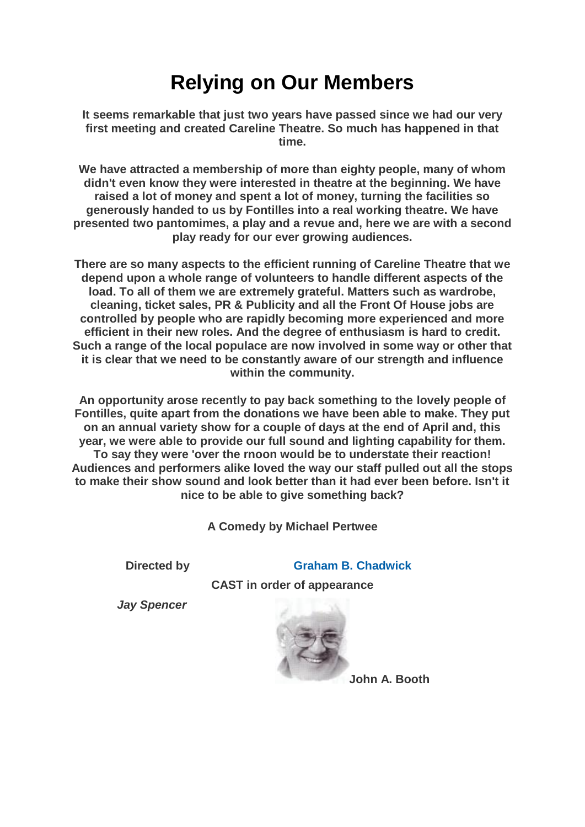## **Relying on Our Members**

**It seems remarkable that just two years have passed since we had our very first meeting and created Careline Theatre. So much has happened in that time.**

**We have attracted a membership of more than eighty people, many of whom didn't even know they were interested in theatre at the beginning. We have raised a lot of money and spent a lot of money, turning the facilities so generously handed to us by Fontilles into a real working theatre. We have presented two pantomimes, a play and a revue and, here we are with a second play ready for our ever growing audiences.**

**There are so many aspects to the efficient running of Careline Theatre that we depend upon a whole range of volunteers to handle different aspects of the load. To all of them we are extremely grateful. Matters such as wardrobe, cleaning, ticket sales, PR & Publicity and all the Front Of House jobs are controlled by people who are rapidly becoming more experienced and more efficient in their new roles. And the degree of enthusiasm is hard to credit. Such a range of the local populace are now involved in some way or other that it is clear that we need to be constantly aware of our strength and influence within the community.**

**An opportunity arose recently to pay back something to the lovely people of Fontilles, quite apart from the donations we have been able to make. They put on an annual variety show for a couple of days at the end of April and, this year, we were able to provide our full sound and lighting capability for them. To say they were 'over the rnoon would be to understate their reaction! Audiences and performers alike loved the way our staff pulled out all the stops to make their show sound and look better than it had ever been before. Isn't it nice to be able to give something back?**

**A Comedy by Michael Pertwee**

**Directed by [Graham B. Chadwick](https://www.carelinetheatre.com/pastprods/grahamchadwick.php)**

**CAST in order of appearance**

*Jay Spencer*



**John A. Booth**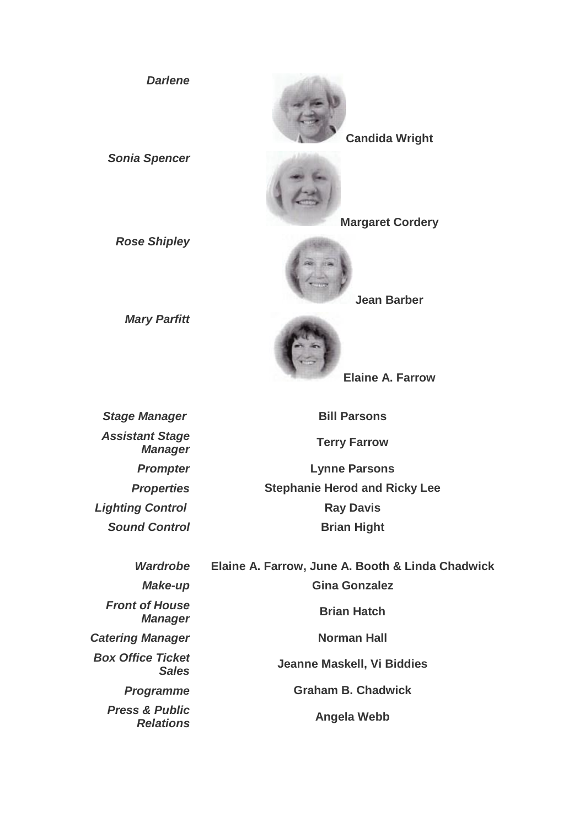**Candida Wright** *Sonia Spencer* **Margaret Cordery** *Rose Shipley* **Jean Barber** *Mary Parfitt* **Elaine A. Farrow**

*Assistant Stage Manager* **Terry Farrow**

*Darlene*

**Stage Manager Bill Parsons** 

*Prompter* **Lynne Parsons** *Properties* **Stephanie Herod and Ricky Lee Lighting Control Control Control Control Ray Davis Sound Control**  Brian Hight

*Front of House Box Office Ticket Press & Public* 

*Wardrobe* **Elaine A. Farrow, June A. Booth & Linda Chadwick** *Make-up* **Gina Gonzalez** *Manager* **Brian Hatch Catering Manager Norman Hall** *Sales* **Jeanne Maskell, Vi Biddies** *Programme* **Graham B. Chadwick** *Relations* **Angela Webb**